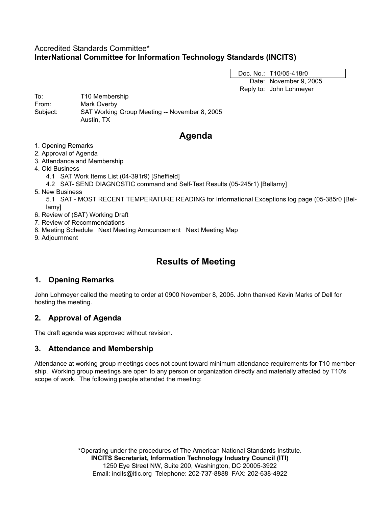# Accredited Standards Committee\* **InterNational Committee for Information Technology Standards (INCITS)**

Doc. No.: T10/05-418r0 Date: November 9, 2005 Reply to: John Lohmeyer

To: T10 Membership From: Mark Overby Subject: SAT Working Group Meeting -- November 8, 2005 Austin, TX

# **Agenda**

- 1. Opening Remarks
- 2. Approval of Agenda
- 3. Attendance and Membership
- 4. Old Business
	- 4.1 SAT Work Items List (04-391r9) [Sheffield]
	- 4.2 SAT- SEND DIAGNOSTIC command and Self-Test Results (05-245r1) [Bellamy]
- 5. New Business
	- 5.1 SAT MOST RECENT TEMPERATURE READING for Informational Exceptions log page (05-385r0 [Bellamy]
- 6. Review of (SAT) Working Draft
- 7. Review of Recommendations
- 8. Meeting Schedule Next Meeting Announcement Next Meeting Map
- 9. Adjournment

# **Results of Meeting**

# **1. Opening Remarks**

John Lohmeyer called the meeting to order at 0900 November 8, 2005. John thanked Kevin Marks of Dell for hosting the meeting.

# **2. Approval of Agenda**

The draft agenda was approved without revision.

# **3. Attendance and Membership**

Attendance at working group meetings does not count toward minimum attendance requirements for T10 membership. Working group meetings are open to any person or organization directly and materially affected by T10's scope of work. The following people attended the meeting:

> \*Operating under the procedures of The American National Standards Institute. **INCITS Secretariat, Information Technology Industry Council (ITI)** 1250 Eye Street NW, Suite 200, Washington, DC 20005-3922 Email: incits@itic.org Telephone: 202-737-8888 FAX: 202-638-4922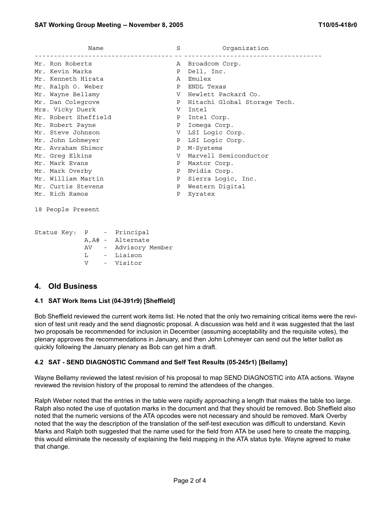| Name                 | S | Organization                 |
|----------------------|---|------------------------------|
| Mr. Ron Roberts      |   | A Broadcom Corp.             |
| Mr. Kevin Marks      | Ρ | Dell, Inc.                   |
| Mr. Kenneth Hirata   | A | Emulex                       |
| Mr. Ralph O. Weber   | Ρ | ENDL Texas                   |
| Mr. Wayne Bellamy    | V | Hewlett Packard Co.          |
| Mr. Dan Colegrove    | P | Hitachi Global Storage Tech. |
| Mrs. Vicky Duerk     | V | Intel                        |
| Mr. Robert Sheffield | P | Intel Corp.                  |
| Mr. Robert Payne     | Ρ | Iomega Corp.                 |
| Mr. Steve Johnson    | V | LSI Logic Corp.              |
| Mr. John Lohmeyer    | Ρ | LSI Logic Corp.              |
| Mr. Avraham Shimor   | Ρ | M-Systems                    |
| Mr. Greg Elkins      | V | Marvell Semiconductor        |
| Mr. Mark Evans       | Ρ | Maxtor Corp.                 |
| Mr. Mark Overby      | Ρ | Nvidia Corp.                 |
| Mr. William Martin   | Ρ | Sierra Logic, Inc.           |
| Mr. Curtis Stevens   | Ρ | Western Digital              |
| Mr. Rich Ramos       | Ρ | Xyratex                      |
|                      |   |                              |

18 People Present

|  |                   |  | Status Key: P - Principal |  |
|--|-------------------|--|---------------------------|--|
|  | A, A# - Alternate |  |                           |  |
|  | AV                |  | Advisory Member           |  |
|  | т.                |  | - Liaison                 |  |
|  | $\overline{V}$    |  | - Visitor                 |  |

## **4. Old Business**

#### **4.1 SAT Work Items List (04-391r9) [Sheffield]**

Bob Sheffield reviewed the current work items list. He noted that the only two remaining critical items were the revision of test unit ready and the send diagnostic proposal. A discussion was held and it was suggested that the last two proposals be recommended for inclusion in December (assuming acceptability and the requisite votes), the plenary approves the recommendations in January, and then John Lohmeyer can send out the letter ballot as quickly following the January plenary as Bob can get him a draft.

#### **4.2 SAT - SEND DIAGNOSTIC Command and Self Test Results (05-245r1) [Bellamy]**

Wayne Bellamy reviewed the latest revision of his proposal to map SEND DIAGNOSTIC into ATA actions. Wayne reviewed the revision history of the proposal to remind the attendees of the changes.

Ralph Weber noted that the entries in the table were rapidly approaching a length that makes the table too large. Ralph also noted the use of quotation marks in the document and that they should be removed. Bob Sheffield also noted that the numeric versions of the ATA opcodes were not necessary and should be removed. Mark Overby noted that the way the description of the translation of the self-test execution was difficult to understand. Kevin Marks and Ralph both suggested that the name used for the field from ATA be used here to create the mapping, this would eliminate the necessity of explaining the field mapping in the ATA status byte. Wayne agreed to make that change.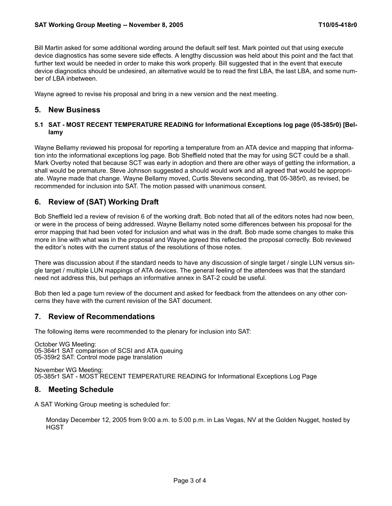Bill Martin asked for some additional wording around the default self test. Mark pointed out that using execute device diagnostics has some severe side effects. A lengthy discussion was held about this point and the fact that further text would be needed in order to make this work properly. Bill suggested that in the event that execute device diagnostics should be undesired, an alternative would be to read the first LBA, the last LBA, and some number of LBA inbetween.

Wayne agreed to revise his proposal and bring in a new version and the next meeting.

## **5. New Business**

#### **5.1 SAT - MOST RECENT TEMPERATURE READING for Informational Exceptions log page (05-385r0) [Bellamy**

Wayne Bellamy reviewed his proposal for reporting a temperature from an ATA device and mapping that information into the informational exceptions log page. Bob Sheffield noted that the may for using SCT could be a shall. Mark Overby noted that because SCT was early in adoption and there are other ways of getting the information, a shall would be premature. Steve Johnson suggested a should would work and all agreed that would be appropriate. Wayne made that change. Wayne Bellamy moved, Curtis Stevens seconding, that 05-385r0, as revised, be recommended for inclusion into SAT. The motion passed with unanimous consent.

# **6. Review of (SAT) Working Draft**

Bob Sheffield led a review of revision 6 of the working draft. Bob noted that all of the editors notes had now been, or were in the process of being addressed. Wayne Bellamy noted some differences between his proposal for the error mapping that had been voted for inclusion and what was in the draft. Bob made some changes to make this more in line with what was in the proposal and Wayne agreed this reflected the proposal correctly. Bob reviewed the editor's notes with the current status of the resolutions of those notes.

There was discussion about if the standard needs to have any discussion of single target / single LUN versus single target / multiple LUN mappings of ATA devices. The general feeling of the attendees was that the standard need not address this, but perhaps an informative annex in SAT-2 could be useful.

Bob then led a page turn review of the document and asked for feedback from the attendees on any other concerns they have with the current revision of the SAT document.

## **7. Review of Recommendations**

The following items were recommended to the plenary for inclusion into SAT:

October WG Meeting: 05-364r1 SAT comparison of SCSI and ATA queuing 05-359r2 SAT: Control mode page translation

November WG Meeting: 05-385r1 SAT - MOST RECENT TEMPERATURE READING for Informational Exceptions Log Page

## **8. Meeting Schedule**

A SAT Working Group meeting is scheduled for:

Monday December 12, 2005 from 9:00 a.m. to 5:00 p.m. in Las Vegas, NV at the Golden Nugget, hosted by **HGST**